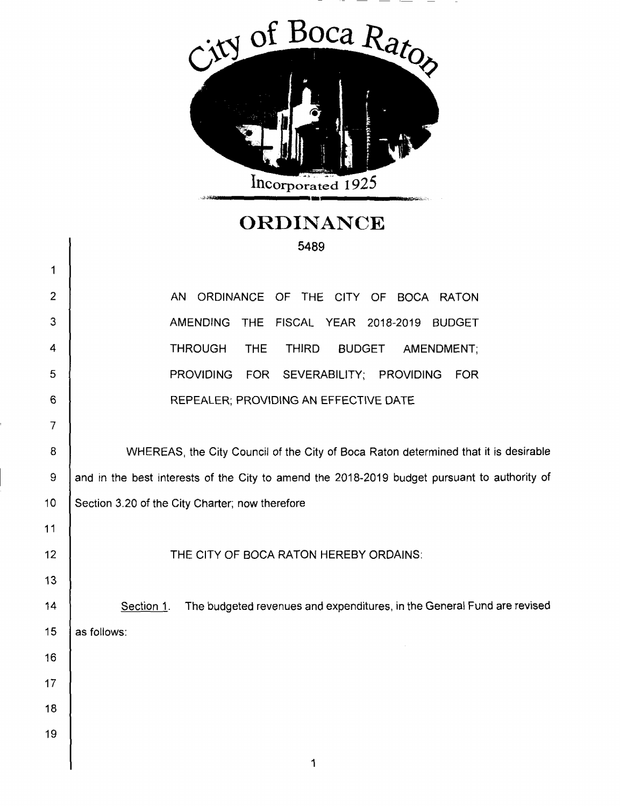

## **ORDINANCE**

|                | 5489                                                                                         |  |  |  |  |
|----------------|----------------------------------------------------------------------------------------------|--|--|--|--|
| 1              |                                                                                              |  |  |  |  |
| $\overline{2}$ | AN<br>ORDINANCE OF THE CITY OF BOCA RATON                                                    |  |  |  |  |
| 3              | <b>AMENDING</b><br><b>THE</b><br>FISCAL YEAR 2018-2019<br><b>BUDGET</b>                      |  |  |  |  |
| 4              | <b>THROUGH</b><br><b>THIRD</b><br><b>THE</b><br><b>BUDGET</b><br>AMENDMENT;                  |  |  |  |  |
| 5              | <b>PROVIDING</b><br>FOR SEVERABILITY; PROVIDING<br><b>FOR</b>                                |  |  |  |  |
| 6              | REPEALER; PROVIDING AN EFFECTIVE DATE                                                        |  |  |  |  |
| $\overline{7}$ |                                                                                              |  |  |  |  |
| 8              | WHEREAS, the City Council of the City of Boca Raton determined that it is desirable          |  |  |  |  |
| 9              | and in the best interests of the City to amend the 2018-2019 budget pursuant to authority of |  |  |  |  |
| 10             | Section 3.20 of the City Charter; now therefore                                              |  |  |  |  |
| 11             |                                                                                              |  |  |  |  |
| 12             | THE CITY OF BOCA RATON HEREBY ORDAINS:                                                       |  |  |  |  |
| 13             |                                                                                              |  |  |  |  |
| 14             | The budgeted revenues and expenditures, in the General Fund are revised<br>Section 1.        |  |  |  |  |
| 15             | as follows:                                                                                  |  |  |  |  |
| 16             |                                                                                              |  |  |  |  |
| 17             |                                                                                              |  |  |  |  |
| 18             |                                                                                              |  |  |  |  |
| 19             |                                                                                              |  |  |  |  |
|                |                                                                                              |  |  |  |  |

 $\overline{\phantom{a}}$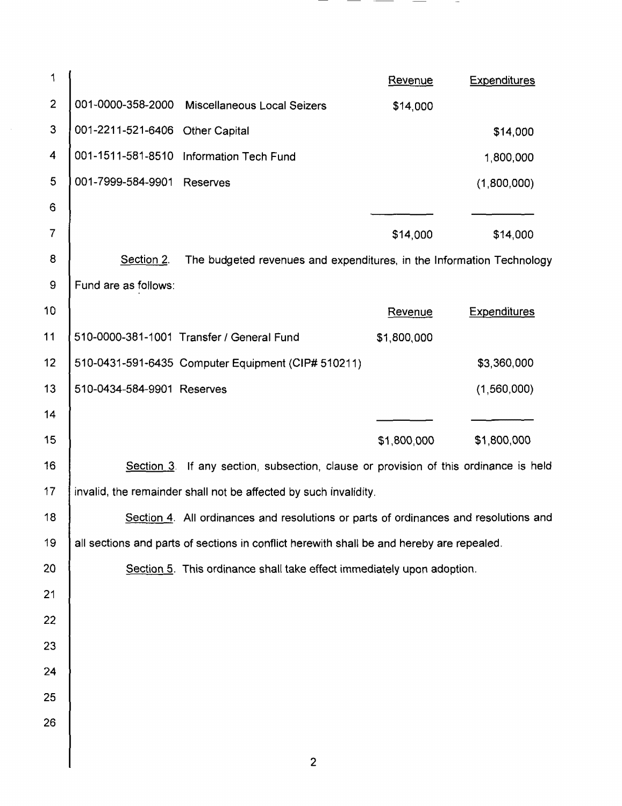| 1                        |                                                                                           |                                                                                      | Revenue     | <b>Expenditures</b> |  |
|--------------------------|-------------------------------------------------------------------------------------------|--------------------------------------------------------------------------------------|-------------|---------------------|--|
| $\overline{2}$           | 001-0000-358-2000                                                                         | Miscellaneous Local Seizers                                                          | \$14,000    |                     |  |
| $\mathbf{3}$             | 001-2211-521-6406                                                                         | <b>Other Capital</b>                                                                 |             | \$14,000            |  |
| 4                        |                                                                                           | 001-1511-581-8510 Information Tech Fund                                              |             | 1,800,000           |  |
| 5                        | 001-7999-584-9901                                                                         | Reserves                                                                             |             | (1,800,000)         |  |
| 6                        |                                                                                           |                                                                                      |             |                     |  |
| $\overline{\mathcal{L}}$ |                                                                                           |                                                                                      | \$14,000    | \$14,000            |  |
| 8                        | Section 2.<br>The budgeted revenues and expenditures, in the Information Technology       |                                                                                      |             |                     |  |
| 9                        | Fund are as follows:                                                                      |                                                                                      |             |                     |  |
| 10                       |                                                                                           |                                                                                      | Revenue     | <b>Expenditures</b> |  |
| 11                       |                                                                                           | 510-0000-381-1001 Transfer / General Fund                                            | \$1,800,000 |                     |  |
| 12                       |                                                                                           | 510-0431-591-6435 Computer Equipment (CIP# 510211)                                   |             | \$3,360,000         |  |
| 13                       | 510-0434-584-9901 Reserves                                                                |                                                                                      |             | (1,560,000)         |  |
| 14                       |                                                                                           |                                                                                      |             |                     |  |
| 15                       |                                                                                           |                                                                                      | \$1,800,000 | \$1,800,000         |  |
| 16                       |                                                                                           | Section 3. If any section, subsection, clause or provision of this ordinance is held |             |                     |  |
| 17                       | invalid, the remainder shall not be affected by such invalidity.                          |                                                                                      |             |                     |  |
| 18                       | Section 4. All ordinances and resolutions or parts of ordinances and resolutions and      |                                                                                      |             |                     |  |
| 19                       | all sections and parts of sections in conflict herewith shall be and hereby are repealed. |                                                                                      |             |                     |  |
| 20                       | Section 5. This ordinance shall take effect immediately upon adoption.                    |                                                                                      |             |                     |  |
| 21                       |                                                                                           |                                                                                      |             |                     |  |
| 22                       |                                                                                           |                                                                                      |             |                     |  |
| 23                       |                                                                                           |                                                                                      |             |                     |  |
| 24                       |                                                                                           |                                                                                      |             |                     |  |
| 25                       |                                                                                           |                                                                                      |             |                     |  |
| 26                       |                                                                                           |                                                                                      |             |                     |  |
|                          |                                                                                           |                                                                                      |             |                     |  |

2

 $\overline{\phantom{a}}$